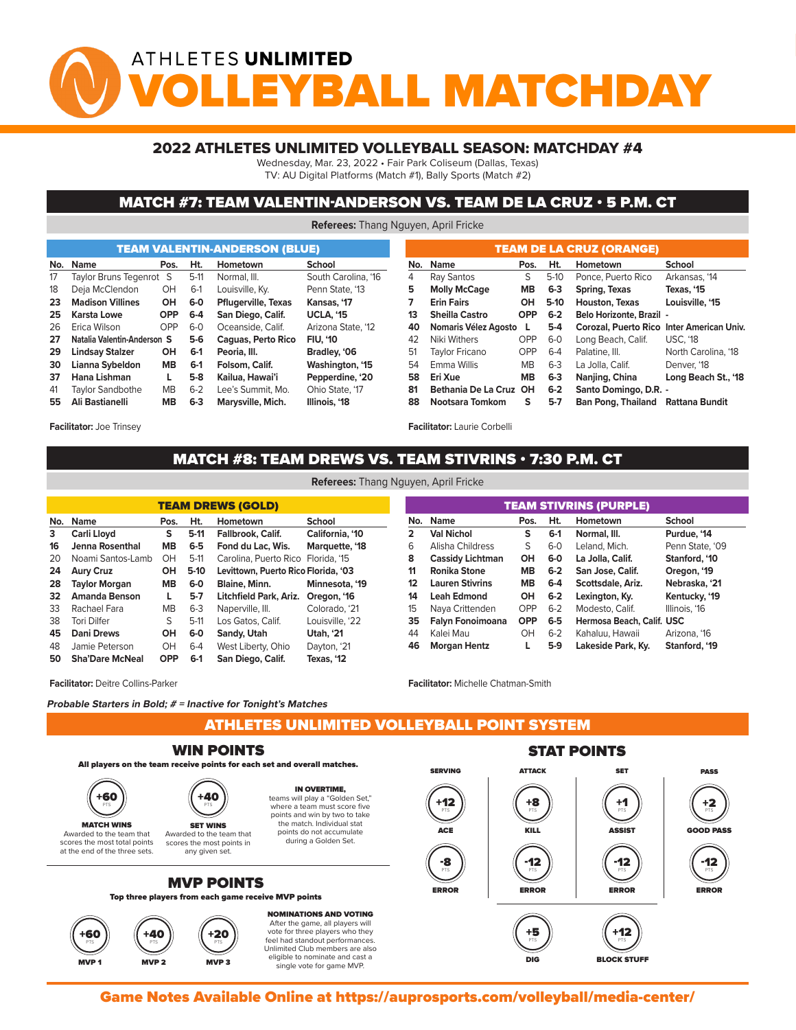## ATHLETES UNLIMITED YBALL MATCHDA

#### 2022 ATHLETES UNLIMITED VOLLEYBALL SEASON: MATCHDAY #4

Wednesday, Mar. 23, 2022 • Fair Park Coliseum (Dallas, Texas)

TV: AU Digital Platforms (Match #1), Bally Sports (Match #2)

#### MATCH #7: TEAM VALENTIN-ANDERSON VS. TEAM DE LA CRUZ • 5 P.M. CT

**Referees:** Thang Nguyen, April Fricke

|     |                                                                             |                                    |                  | <b>TEAM VALENTIN-ANDERSON (BLUE)</b> |                       |                 | <b>TEAM DE LA CRUZ (ORANGE)</b> |                                 |                           |                                           |                     |  |  |  |  |  |  |
|-----|-----------------------------------------------------------------------------|------------------------------------|------------------|--------------------------------------|-----------------------|-----------------|---------------------------------|---------------------------------|---------------------------|-------------------------------------------|---------------------|--|--|--|--|--|--|
| No. | Name<br>Ht.<br>Hometown<br>Pos.                                             |                                    |                  | School                               |                       | No. Name        | Pos.                            | Ht.                             | Hometown                  | School                                    |                     |  |  |  |  |  |  |
| 17  | Taylor Bruns Tegenrot S                                                     | $5-11$<br>Normal, III.             |                  | South Carolina, '16<br>4             |                       | Ray Santos      | S                               | $5-10$                          | Ponce, Puerto Rico        | Arkansas, '14                             |                     |  |  |  |  |  |  |
| 18  | Deja McClendon                                                              | OH                                 | $6-1$            | Louisville, Ky.                      | Penn State, '13       | 5               | <b>Molly McCage</b>             | MB.                             | $6 - 3$                   | Spring, Texas                             | Texas, '15          |  |  |  |  |  |  |
| 23  | <b>OH</b><br><b>Pflugerville, Texas</b><br><b>Madison Villines</b><br>$6-0$ |                                    | Kansas, '17      | <b>Erin Fairs</b>                    |                       |                 | $5-10$                          | <b>Houston, Texas</b>           | Louisville, '15           |                                           |                     |  |  |  |  |  |  |
| 25  | $6-4$<br>San Diego, Calif.<br>Karsta Lowe<br><b>OPP</b>                     |                                    | <b>UCLA. '15</b> |                                      | <b>Sheilla Castro</b> | <b>OPP</b>      | $6 - 2$                         | <b>Belo Horizonte, Brazil -</b> |                           |                                           |                     |  |  |  |  |  |  |
| 26  | Erica Wilson                                                                | OPP                                | $6-0$            | Oceanside, Calif.                    | Arizona State, '12    | 40              | Nomaris Vélez Agosto            |                                 | $5-4$                     | Corozal, Puerto Rico Inter American Univ. |                     |  |  |  |  |  |  |
| 27  | Natalia Valentin-Anderson S                                                 |                                    | $5-6$            | <b>Caguas, Perto Rico</b>            | <b>FIU. '10</b>       | 42              | Niki Withers                    | <b>OPP</b>                      | $6-0$                     | Long Beach, Calif.                        | <b>USC. '18</b>     |  |  |  |  |  |  |
| 29  | <b>Lindsay Stalzer</b>                                                      | OH                                 | $6-1$            | Peoria, III.                         | Bradley, '06          | 51              | <b>Tavlor Fricano</b>           | <b>OPP</b>                      | $6 - 4$                   | Palatine, III.                            | North Carolina, '18 |  |  |  |  |  |  |
| 30  | Lianna Sybeldon                                                             | <b>MB</b>                          | $6-1$            | Folsom, Calif.                       | Washington, '15       | 54              | Emma Willis                     | <b>MB</b>                       | $6 - 3$                   | La Jolla, Calif.                          | Denver, '18         |  |  |  |  |  |  |
| 37  | Hana Lishman                                                                |                                    | $5-8$            | Kailua, Hawai'i                      | Pepperdine, '20       | 58.             | Eri Xue                         | <b>MB</b>                       | $6 - 3$                   | Nanjing, China                            | Long Beach St., '18 |  |  |  |  |  |  |
| 41  | <b>Taylor Sandbothe</b>                                                     | МB                                 | $6 - 2$          | Lee's Summit. Mo.                    | Ohio State, '17       | 81              | Bethania De La Cruz OH          |                                 | $6 - 2$                   | Santo Domingo, D.R. -                     |                     |  |  |  |  |  |  |
| 55. | Ali Bastianelli                                                             | Marysville, Mich.<br>$6 - 3$<br>MВ |                  | Illinois, '18                        | 88                    | Nootsara Tomkom | s                               | $5 - 7$                         | <b>Ban Pong, Thailand</b> | Rattana Bundit                            |                     |  |  |  |  |  |  |
|     |                                                                             |                                    |                  |                                      |                       |                 |                                 |                                 |                           |                                           |                     |  |  |  |  |  |  |

**Facilitator:** Joe Trinsey

**Facilitator:** Deitre Collins-Parker

# MATCH #8: TEAM DREWS VS. TEAM STIVRINS  $\cdot$  7:30 P.M. CT

**Referees:** Thang Nguyen, April Fricke

**Facilitator:** Laurie Corbelli

| <b>TEAM DREWS (GOLD)</b> |                        |             |         |                                     |                  |  |  |  |  |  |  |  |  |
|--------------------------|------------------------|-------------|---------|-------------------------------------|------------------|--|--|--|--|--|--|--|--|
| No.                      | <b>Name</b>            | Pos.        | Ht.     | Hometown                            | School           |  |  |  |  |  |  |  |  |
| 3                        | Carli Lloyd            | s<br>$5-11$ |         | Fallbrook, Calif.                   | California, '10  |  |  |  |  |  |  |  |  |
| 16                       | <b>Jenna Rosenthal</b> | MВ          | $6-5$   | Fond du Lac, Wis.                   | Marquette, '18   |  |  |  |  |  |  |  |  |
| 20                       | Noami Santos-Lamb      |             | $5-11$  | Carolina, Puerto Rico Florida, '15  |                  |  |  |  |  |  |  |  |  |
| 24<br><b>Aury Cruz</b>   |                        | он          | $5-10$  | Levittown, Puerto Rico Florida, '03 |                  |  |  |  |  |  |  |  |  |
| 28                       | <b>Taylor Morgan</b>   | MВ          | $6-0$   | <b>Blaine, Minn.</b>                | Minnesota, '19   |  |  |  |  |  |  |  |  |
| 32                       | <b>Amanda Benson</b>   | L           | $5-7$   | Litchfield Park, Ariz. Oregon, '16  |                  |  |  |  |  |  |  |  |  |
| 33                       | Rachael Fara           | <b>MB</b>   | $6-3$   | Naperville, III.                    | Colorado, '21    |  |  |  |  |  |  |  |  |
| 38                       | <b>Tori Dilfer</b>     | S           | $5-11$  | Los Gatos, Calif.                   | Louisville, '22  |  |  |  |  |  |  |  |  |
| 45                       | <b>Dani Drews</b>      | он          | 6-0     | Sandy, Utah                         | <b>Utah, '21</b> |  |  |  |  |  |  |  |  |
| 48                       | Jamie Peterson         | OH          | $6 - 4$ | West Liberty, Ohio                  | Dayton, '21      |  |  |  |  |  |  |  |  |
| 50                       | <b>Sha'Dare McNeal</b> | <b>OPP</b>  | $6-1$   | San Diego, Calif.                   | Texas, '12       |  |  |  |  |  |  |  |  |

| <b>TEAM STIVRINS (PURPLE)</b> |                        |            |         |                                  |                 |  |  |  |  |  |  |  |
|-------------------------------|------------------------|------------|---------|----------------------------------|-----------------|--|--|--|--|--|--|--|
| No.                           | <b>Name</b>            | Pos.       | Ht.     | Hometown                         | School          |  |  |  |  |  |  |  |
| 2                             | <b>Val Nichol</b>      | S          | $6-1$   | Normal, III.                     | Purdue, '14     |  |  |  |  |  |  |  |
| 6                             | Alisha Childress       | S          | $6-0$   | Leland, Mich.                    | Penn State, '09 |  |  |  |  |  |  |  |
| 8                             | Cassidy Lichtman       | OH         | $6-0$   | La Jolla, Calif.                 | Stanford, '10   |  |  |  |  |  |  |  |
| 11                            | <b>Ronika Stone</b>    | <b>MB</b>  | $6 - 2$ | San Jose, Calif.                 | Oregon, '19     |  |  |  |  |  |  |  |
| 12                            | <b>Lauren Stivrins</b> | <b>MB</b>  | $6-4$   | Scottsdale, Ariz.                | Nebraska. '21   |  |  |  |  |  |  |  |
| 14                            | <b>Leah Edmond</b>     | OН         | $6 - 2$ | Lexington, Ky.                   | Kentucky, '19   |  |  |  |  |  |  |  |
| 15                            | Naya Crittenden        | OPP        | $6-2$   | Modesto, Calif.                  | Illinois, '16   |  |  |  |  |  |  |  |
| 35                            | Falyn Fonoimoana       | <b>OPP</b> | $6-5$   | <b>Hermosa Beach, Calif. USC</b> |                 |  |  |  |  |  |  |  |
| 44                            | Kalei Mau              | OH         | $6 - 2$ | Kahaluu, Hawaii                  | Arizona, '16    |  |  |  |  |  |  |  |
| 46                            | <b>Morgan Hentz</b>    | L          | $5-9$   | Lakeside Park, Ky.               | Stanford, '19   |  |  |  |  |  |  |  |

single vote for game MVP.

**Facilitator:** Michelle Chatman-Smith

MVP 2 MVP 2 MVP 3 MVP 3 MVP 3 MVP 3 MVP 3 MVP 3 MVP 3 MVP 3 MVP 3 MVP 3 MVP 3 MVP 3 MVP 3 MVP 3 MVP 3 MVP 3 MV

**Probable Starters in Bold; # = Inactive for Tonight's Matches**

ATHLETES UNLIMITED VOLLEYBALL POINT SYSTEM



Game Notes Available Online at https://auprosports.com/volleyball/media-center/<br>.